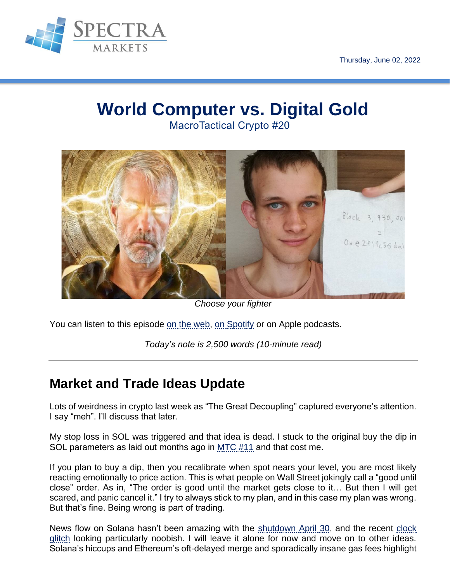

# **World Computer vs. Digital Gold**

MacroTactical Crypto #20



*Choose your fighter*

You can listen to this episode [on the web,](https://spectra-markets.simplecast.com/episodes/macrotactical-crypto-20-world-computer-vs-digital-gold) [on Spotify](https://open.spotify.com/episode/5u6fEv8qL54rNSs59RPOMu?si=9i-YhA7FSFqHYDsVwP-z7w) or on Apple podcasts.

*Today's note is 2,500 words (10-minute read)*

# **Market and Trade Ideas Update**

Lots of weirdness in crypto last week as "The Great Decoupling" captured everyone's attention. I say "meh". I'll discuss that later.

My stop loss in SOL was triggered and that idea is dead. I stuck to the original buy the dip in SOL parameters as laid out months ago in [MTC #11](https://mtcbd.substack.com/p/mtc-11-sober?s=w#details) and that cost me.

If you plan to buy a dip, then you recalibrate when spot nears your level, you are most likely reacting emotionally to price action. This is what people on Wall Street jokingly call a "good until close" order. As in, "The order is good until the market gets close to it… But then I will get scared, and panic cancel it." I try to always stick to my plan, and in this case my plan was wrong. But that's fine. Being wrong is part of trading.

News flow on Solana hasn't been amazing with the [shutdown April 30,](https://twitter.com/SolanaStatus/status/1520508697100926977?ref_src=twsrc%5Etfw%7Ctwcamp%5Etweetembed%7Ctwterm%5E1520508697100926977%7Ctwgr%5E%7Ctwcon%5Es1_&ref_url=https%3A%2F%2Fcoinlive.me%2Fsolana-crashes-again-the-whole-blockchain-stops-18216.html) and the recent [clock](https://www.theblockcrypto.com/post/149112/solanas-blockchain-clock-loses-track-of-time-now-running-30-minutes-behind)  [glitch](https://www.theblockcrypto.com/post/149112/solanas-blockchain-clock-loses-track-of-time-now-running-30-minutes-behind) looking particularly noobish. I will leave it alone for now and move on to other ideas. Solana's hiccups and Ethereum's oft-delayed merge and sporadically insane gas fees highlight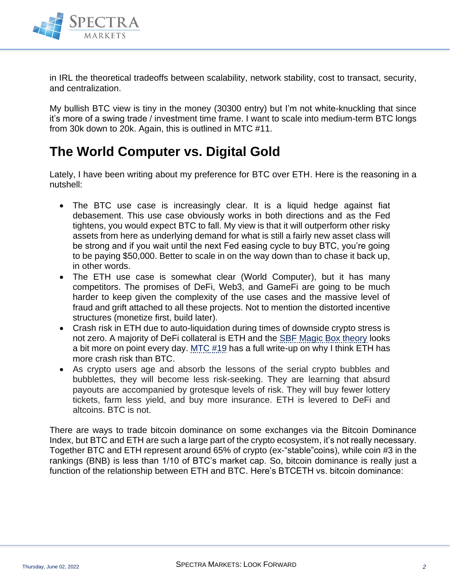

in IRL the theoretical tradeoffs between scalability, network stability, cost to transact, security, and centralization.

My bullish BTC view is tiny in the money (30300 entry) but I'm not white-knuckling that since it's more of a swing trade / investment time frame. I want to scale into medium-term BTC longs from 30k down to 20k. Again, this is outlined in MTC #11.

## **The World Computer vs. Digital Gold**

Lately, I have been writing about my preference for BTC over ETH. Here is the reasoning in a nutshell:

- The BTC use case is increasingly clear. It is a liquid hedge against fiat debasement. This use case obviously works in both directions and as the Fed tightens, you would expect BTC to fall. My view is that it will outperform other risky assets from here as underlying demand for what is still a fairly new asset class will be strong and if you wait until the next Fed easing cycle to buy BTC, you're going to be paying \$50,000. Better to scale in on the way down than to chase it back up, in other words.
- The ETH use case is somewhat clear (World Computer), but it has many competitors. The promises of DeFi, Web3, and GameFi are going to be much harder to keep given the complexity of the use cases and the massive level of fraud and grift attached to all these projects. Not to mention the distorted incentive structures (monetize first, build later).
- Crash risk in ETH due to auto-liquidation during times of downside crypto stress is not zero. A majority of DeFi collateral is ETH and the [SBF Magic Box theory](https://www.ft.com/content/eac0e56c-f30b-4591-b603-f971e60dc58b) looks a bit more on point every day. [MTC #19](https://mtcbd.substack.com/p/corrs-revolving-doors-and-stablecoins?s=w) has a full write-up on why I think ETH has more crash risk than BTC.
- As crypto users age and absorb the lessons of the serial crypto bubbles and bubblettes, they will become less risk-seeking. They are learning that absurd payouts are accompanied by grotesque levels of risk. They will buy fewer lottery tickets, farm less yield, and buy more insurance. ETH is levered to DeFi and altcoins. BTC is not.

There are ways to trade bitcoin dominance on some exchanges via the Bitcoin Dominance Index, but BTC and ETH are such a large part of the crypto ecosystem, it's not really necessary. Together BTC and ETH represent around 65% of crypto (ex-"stable"coins), while coin #3 in the rankings (BNB) is less than 1/10 of BTC's market cap. So, bitcoin dominance is really just a function of the relationship between ETH and BTC. Here's BTCETH vs. bitcoin dominance: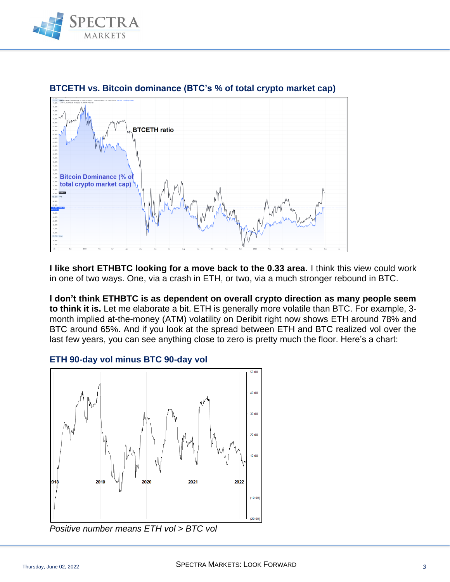



### **BTCETH vs. Bitcoin dominance (BTC's % of total crypto market cap)**

**I like short ETHBTC looking for a move back to the 0.33 area.** I think this view could work in one of two ways. One, via a crash in ETH, or two, via a much stronger rebound in BTC.

**I don't think ETHBTC is as dependent on overall crypto direction as many people seem to think it is.** Let me elaborate a bit. ETH is generally more volatile than BTC. For example, 3 month implied at-the-money (ATM) volatility on Deribit right now shows ETH around 78% and BTC around 65%. And if you look at the spread between ETH and BTC realized vol over the last few years, you can see anything close to zero is pretty much the floor. Here's a chart:

#### **ETH 90-day vol minus BTC 90-day vol**



*Positive number means ETH vol > BTC vol*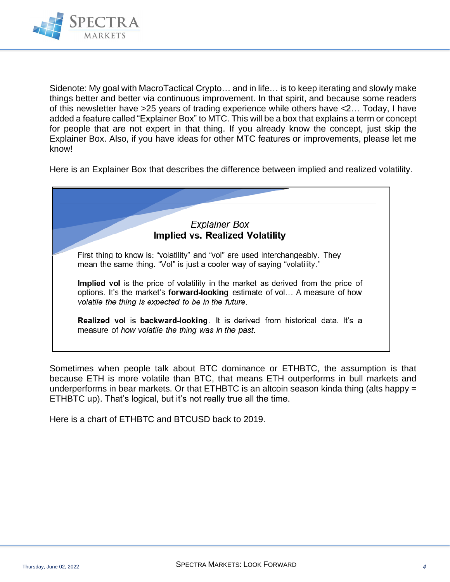

Sidenote: My goal with MacroTactical Crypto… and in life… is to keep iterating and slowly make things better and better via continuous improvement. In that spirit, and because some readers of this newsletter have >25 years of trading experience while others have <2… Today, I have added a feature called "Explainer Box" to MTC. This will be a box that explains a term or concept for people that are not expert in that thing. If you already know the concept, just skip the Explainer Box. Also, if you have ideas for other MTC features or improvements, please let me know!

Here is an Explainer Box that describes the difference between implied and realized volatility.



Sometimes when people talk about BTC dominance or ETHBTC, the assumption is that because ETH is more volatile than BTC, that means ETH outperforms in bull markets and underperforms in bear markets. Or that ETHBTC is an altcoin season kinda thing (alts happy = ETHBTC up). That's logical, but it's not really true all the time.

Here is a chart of ETHBTC and BTCUSD back to 2019.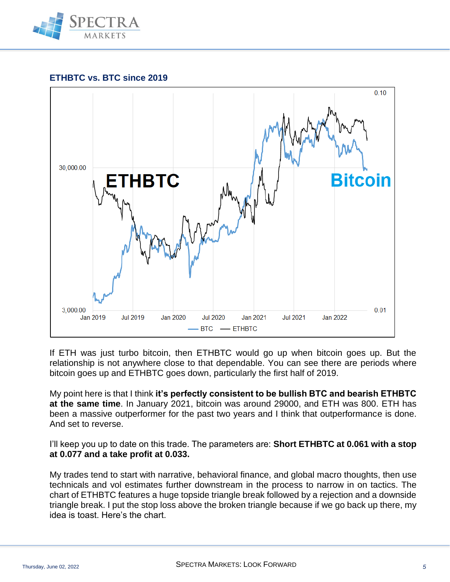

### **ETHBTC vs. BTC since 2019**



If ETH was just turbo bitcoin, then ETHBTC would go up when bitcoin goes up. But the relationship is not anywhere close to that dependable. You can see there are periods where bitcoin goes up and ETHBTC goes down, particularly the first half of 2019.

My point here is that I think **it's perfectly consistent to be bullish BTC and bearish ETHBTC at the same time**. In January 2021, bitcoin was around 29000, and ETH was 800. ETH has been a massive outperformer for the past two years and I think that outperformance is done. And set to reverse.

I'll keep you up to date on this trade. The parameters are: **Short ETHBTC at 0.061 with a stop at 0.077 and a take profit at 0.033.**

My trades tend to start with narrative, behavioral finance, and global macro thoughts, then use technicals and vol estimates further downstream in the process to narrow in on tactics. The chart of ETHBTC features a huge topside triangle break followed by a rejection and a downside triangle break. I put the stop loss above the broken triangle because if we go back up there, my idea is toast. Here's the chart.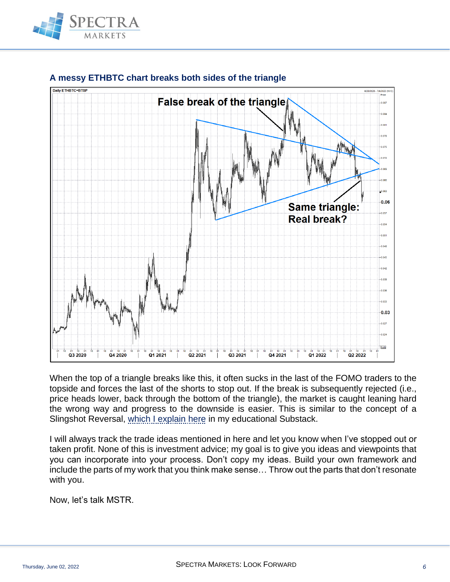



### **A messy ETHBTC chart breaks both sides of the triangle**

When the top of a triangle breaks like this, it often sucks in the last of the FOMO traders to the topside and forces the last of the shorts to stop out. If the break is subsequently rejected (i.e., price heads lower, back through the bottom of the triangle), the market is caught leaning hard the wrong way and progress to the downside is easier. This is similar to the concept of a Slingshot Reversal, [which I explain here](https://50in50.substack.com/p/trade-14-btc-slingshot?s=w) in my educational Substack.

I will always track the trade ideas mentioned in here and let you know when I've stopped out or taken profit. None of this is investment advice; my goal is to give you ideas and viewpoints that you can incorporate into your process. Don't copy my ideas. Build your own framework and include the parts of my work that you think make sense… Throw out the parts that don't resonate with you.

Now, let's talk MSTR.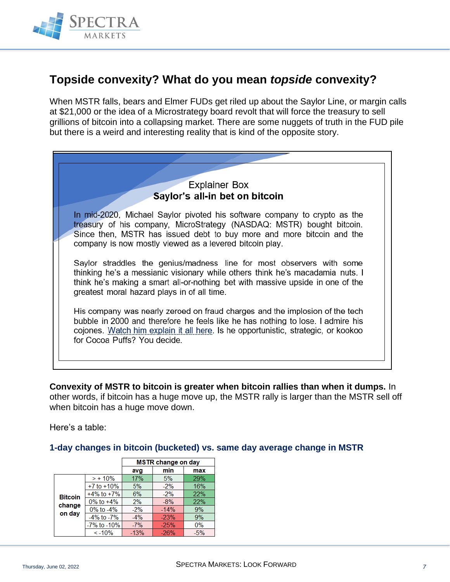

### **Topside convexity? What do you mean** *topside* **convexity?**

When MSTR falls, bears and Elmer FUDs get riled up about the Saylor Line, or margin calls at \$21,000 or the idea of a Microstrategy board revolt that will force the treasury to sell grillions of bitcoin into a collapsing market. There are some nuggets of truth in the FUD pile but there is a weird and interesting reality that is kind of the opposite story.



**Convexity of MSTR to bitcoin is greater when bitcoin rallies than when it dumps.** In other words, if bitcoin has a huge move up, the MSTR rally is larger than the MSTR sell off when bitcoin has a huge move down.

Here's a table:

**1-day changes in bitcoin (bucketed) vs. same day average change in MSTR**

|                                    |                  | <b>MSTR change on day</b> |        |            |
|------------------------------------|------------------|---------------------------|--------|------------|
|                                    |                  | avg                       | min    | max        |
| <b>Bitcoin</b><br>change<br>on day | $> +10\%$        | 17%                       | 5%     | 29%        |
|                                    | $+7$ to $+10\%$  | 5%                        | $-2%$  | 16%        |
|                                    | $+4\%$ to $+7\%$ | 6%                        | $-2%$  | 22%        |
|                                    | $0\%$ to $+4\%$  | 2%                        | $-8%$  | <b>22%</b> |
|                                    | $0\%$ to $-4\%$  | $-2%$                     | $-14%$ | 9%         |
|                                    | $-4\%$ to $-7\%$ | $-4%$                     | $-23%$ | 9%         |
|                                    | -7% to -10%      | $-7%$                     | $-25%$ | 0%         |
|                                    | $< -10%$         | $-13%$                    | $-26%$ | $-5%$      |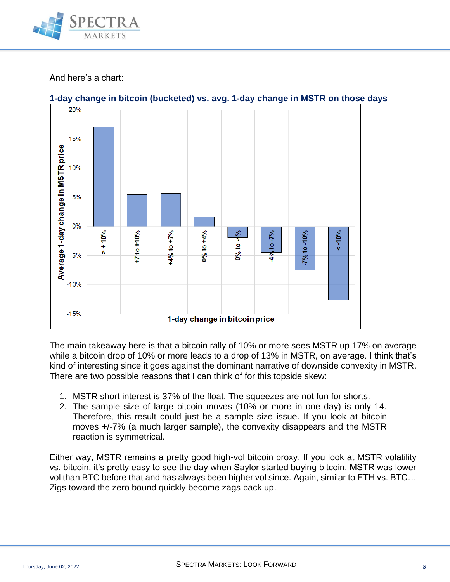

### And here's a chart:



**1-day change in bitcoin (bucketed) vs. avg. 1-day change in MSTR on those days**

The main takeaway here is that a bitcoin rally of 10% or more sees MSTR up 17% on average while a bitcoin drop of 10% or more leads to a drop of 13% in MSTR, on average. I think that's kind of interesting since it goes against the dominant narrative of downside convexity in MSTR. There are two possible reasons that I can think of for this topside skew:

- 1. MSTR short interest is 37% of the float. The squeezes are not fun for shorts.
- 2. The sample size of large bitcoin moves (10% or more in one day) is only 14. Therefore, this result could just be a sample size issue. If you look at bitcoin moves +/-7% (a much larger sample), the convexity disappears and the MSTR reaction is symmetrical.

Either way, MSTR remains a pretty good high-vol bitcoin proxy. If you look at MSTR volatility vs. bitcoin, it's pretty easy to see the day when Saylor started buying bitcoin. MSTR was lower vol than BTC before that and has always been higher vol since. Again, similar to ETH vs. BTC… Zigs toward the zero bound quickly become zags back up.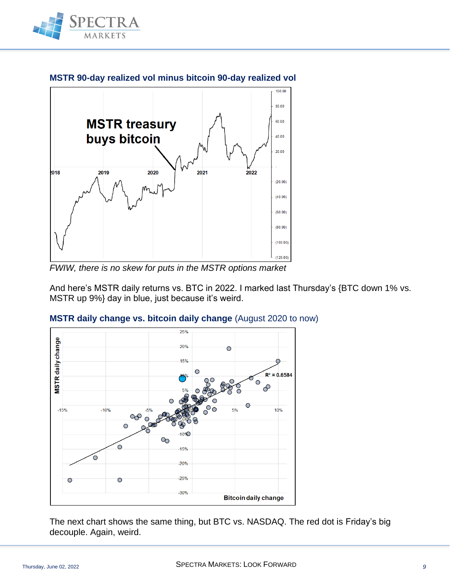



**MSTR 90-day realized vol minus bitcoin 90-day realized vol**

*FWIW, there is no skew for puts in the MSTR options market*

And here's MSTR daily returns vs. BTC in 2022. I marked last Thursday's {BTC down 1% vs. MSTR up 9%} day in blue, just because it's weird.



### **MSTR daily change vs. bitcoin daily change** (August 2020 to now)

The next chart shows the same thing, but BTC vs. NASDAQ. The red dot is Friday's big decouple. Again, weird.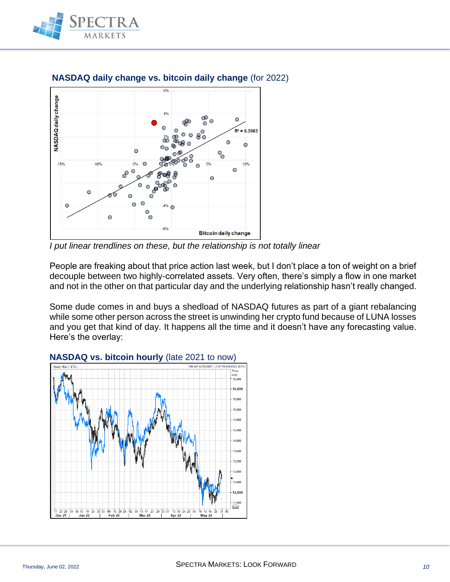



**NASDAQ daily change vs. bitcoin daily change** (for 2022)

*I put linear trendlines on these, but the relationship is not totally linear*

People are freaking about that price action last week, but I don't place a ton of weight on a brief decouple between two highly-correlated assets. Very often, there's simply a flow in one market and not in the other on that particular day and the underlying relationship hasn't really changed.

Some dude comes in and buys a shedload of NASDAQ futures as part of a giant rebalancing while some other person across the street is unwinding her crypto fund because of LUNA losses and you get that kind of day. It happens all the time and it doesn't have any forecasting value. Here's the overlay:

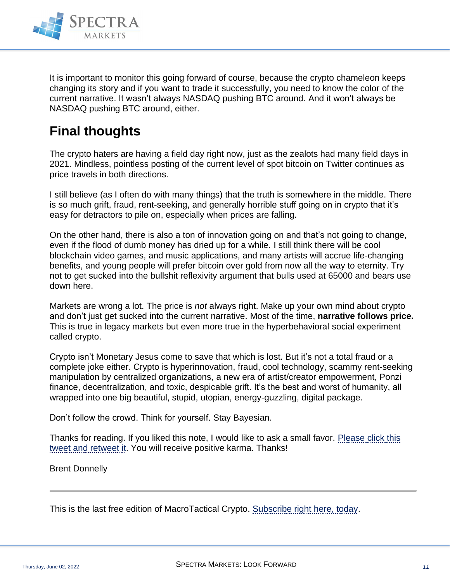

It is important to monitor this going forward of course, because the crypto chameleon keeps changing its story and if you want to trade it successfully, you need to know the color of the current narrative. It wasn't always NASDAQ pushing BTC around. And it won't always be NASDAQ pushing BTC around, either.

# **Final thoughts**

The crypto haters are having a field day right now, just as the zealots had many field days in 2021. Mindless, pointless posting of the current level of spot bitcoin on Twitter continues as price travels in both directions.

I still believe (as I often do with many things) that the truth is somewhere in the middle. There is so much grift, fraud, rent-seeking, and generally horrible stuff going on in crypto that it's easy for detractors to pile on, especially when prices are falling.

On the other hand, there is also a ton of innovation going on and that's not going to change, even if the flood of dumb money has dried up for a while. I still think there will be cool blockchain video games, and music applications, and many artists will accrue life-changing benefits, and young people will prefer bitcoin over gold from now all the way to eternity. Try not to get sucked into the bullshit reflexivity argument that bulls used at 65000 and bears use down here.

Markets are wrong a lot. The price is *not* always right. Make up your own mind about crypto and don't just get sucked into the current narrative. Most of the time, **narrative follows price.** This is true in legacy markets but even more true in the hyperbehavioral social experiment called crypto.

Crypto isn't Monetary Jesus come to save that which is lost. But it's not a total fraud or a complete joke either. Crypto is hyperinnovation, fraud, cool technology, scammy rent-seeking manipulation by centralized organizations, a new era of artist/creator empowerment, Ponzi finance, decentralization, and toxic, despicable grift. It's the best and worst of humanity, all wrapped into one big beautiful, stupid, utopian, energy-guzzling, digital package.

Don't follow the crowd. Think for yourself. Stay Bayesian.

Thanks for reading. If you liked this note, I would like to ask a small favor. Please click this [tweet and retweet it.](https://twitter.com/donnelly_brent/status/1532050413075288066) You will receive positive karma. Thanks!

Brent Donnelly

This is the last free edition of MacroTactical Crypto. [Subscribe right here, today.](https://www.spectramarkets.com/subscribe/)